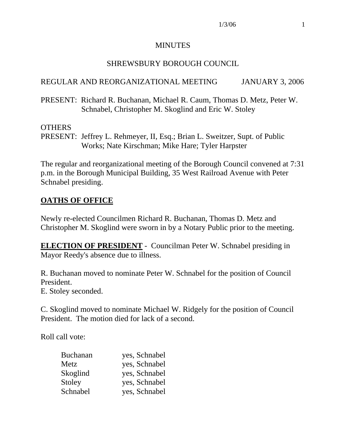#### MINUTES

#### SHREWSBURY BOROUGH COUNCIL

#### REGULAR AND REORGANIZATIONAL MEETING JANUARY 3, 2006

PRESENT: Richard R. Buchanan, Michael R. Caum, Thomas D. Metz, Peter W. Schnabel, Christopher M. Skoglind and Eric W. Stoley

#### **OTHERS**

PRESENT: Jeffrey L. Rehmeyer, II, Esq.; Brian L. Sweitzer, Supt. of Public Works; Nate Kirschman; Mike Hare; Tyler Harpster

The regular and reorganizational meeting of the Borough Council convened at 7:31 p.m. in the Borough Municipal Building, 35 West Railroad Avenue with Peter Schnabel presiding.

### **OATHS OF OFFICE**

Newly re-elected Councilmen Richard R. Buchanan, Thomas D. Metz and Christopher M. Skoglind were sworn in by a Notary Public prior to the meeting.

**ELECTION OF PRESIDENT** - Councilman Peter W. Schnabel presiding in Mayor Reedy's absence due to illness.

R. Buchanan moved to nominate Peter W. Schnabel for the position of Council President.

E. Stoley seconded.

C. Skoglind moved to nominate Michael W. Ridgely for the position of Council President. The motion died for lack of a second.

Roll call vote:

| <b>Buchanan</b> | yes, Schnabel |
|-----------------|---------------|
| Metz            | yes, Schnabel |
| Skoglind        | yes, Schnabel |
| Stoley          | yes, Schnabel |
| Schnabel        | yes, Schnabel |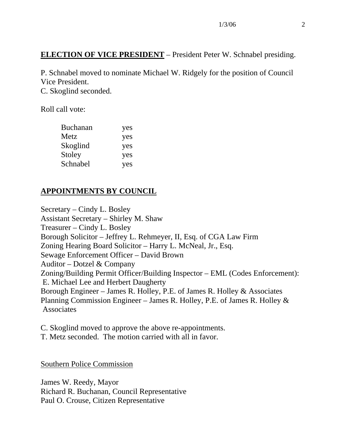### **ELECTION OF VICE PRESIDENT** – President Peter W. Schnabel presiding.

P. Schnabel moved to nominate Michael W. Ridgely for the position of Council Vice President.

C. Skoglind seconded.

Roll call vote:

| <b>Buchanan</b> | yes |
|-----------------|-----|
| Metz            | yes |
| Skoglind        | yes |
| Stoley          | yes |
| Schnabel        | yes |

## **APPOINTMENTS BY COUNCIL**

Secretary – Cindy L. Bosley Assistant Secretary – Shirley M. Shaw Treasurer – Cindy L. Bosley Borough Solicitor – Jeffrey L. Rehmeyer, II, Esq. of CGA Law Firm Zoning Hearing Board Solicitor – Harry L. McNeal, Jr., Esq. Sewage Enforcement Officer – David Brown Auditor – Dotzel & Company Zoning/Building Permit Officer/Building Inspector – EML (Codes Enforcement): E. Michael Lee and Herbert Daugherty Borough Engineer – James R. Holley, P.E. of James R. Holley & Associates Planning Commission Engineer – James R. Holley, P.E. of James R. Holley & Associates

C. Skoglind moved to approve the above re-appointments. T. Metz seconded. The motion carried with all in favor.

Southern Police Commission

James W. Reedy, Mayor Richard R. Buchanan, Council Representative Paul O. Crouse, Citizen Representative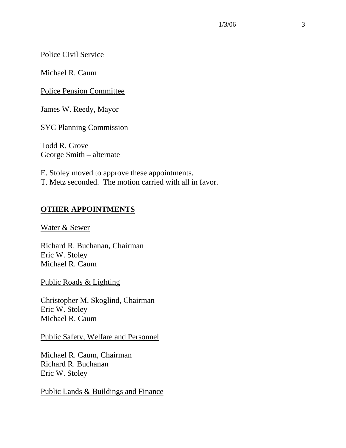#### Police Civil Service

Michael R. Caum

Police Pension Committee

James W. Reedy, Mayor

SYC Planning Commission

Todd R. Grove George Smith – alternate

E. Stoley moved to approve these appointments. T. Metz seconded. The motion carried with all in favor.

### **OTHER APPOINTMENTS**

Water & Sewer

Richard R. Buchanan, Chairman Eric W. Stoley Michael R. Caum

Public Roads & Lighting

Christopher M. Skoglind, Chairman Eric W. Stoley Michael R. Caum

#### Public Safety, Welfare and Personnel

Michael R. Caum, Chairman Richard R. Buchanan Eric W. Stoley

Public Lands & Buildings and Finance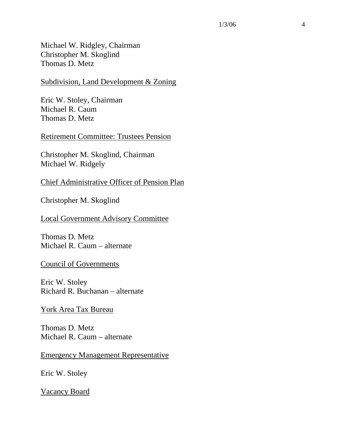Michael W. Ridgley, Chairman Christopher M. Skoglind Thomas D. Metz

Subdivision, Land Development & Zoning

Eric W. Stoley, Chairman Michael R. Caum Thomas D. Metz

Retirement Committee: Trustees Pension

Christopher M. Skoglind, Chairman Michael W. Ridgely

Chief Administrative Officer of Pension Plan

Christopher M. Skoglind

Local Government Advisory Committee

Thomas D. Metz Michael R. Caum – alternate

Council of Governments

Eric W. Stoley Richard R. Buchanan – alternate

York Area Tax Bureau

Thomas D. Metz Michael R. Caum – alternate

Emergency Management Representative

Eric W. Stoley

Vacancy Board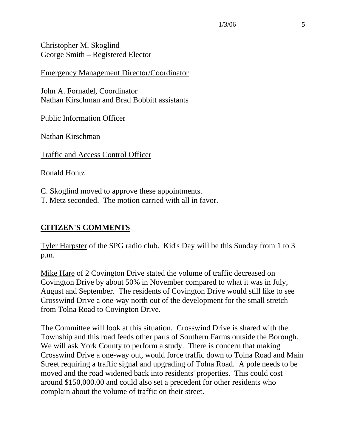Christopher M. Skoglind George Smith – Registered Elector

Emergency Management Director/Coordinator

John A. Fornadel, Coordinator Nathan Kirschman and Brad Bobbitt assistants

Public Information Officer

Nathan Kirschman

Traffic and Access Control Officer

Ronald Hontz

C. Skoglind moved to approve these appointments. T. Metz seconded. The motion carried with all in favor.

#### **CITIZEN'S COMMENTS**

Tyler Harpster of the SPG radio club. Kid's Day will be this Sunday from 1 to 3 p.m.

Mike Hare of 2 Covington Drive stated the volume of traffic decreased on Covington Drive by about 50% in November compared to what it was in July, August and September. The residents of Covington Drive would still like to see Crosswind Drive a one-way north out of the development for the small stretch from Tolna Road to Covington Drive.

The Committee will look at this situation. Crosswind Drive is shared with the Township and this road feeds other parts of Southern Farms outside the Borough. We will ask York County to perform a study. There is concern that making Crosswind Drive a one-way out, would force traffic down to Tolna Road and Main Street requiring a traffic signal and upgrading of Tolna Road. A pole needs to be moved and the road widened back into residents' properties. This could cost around \$150,000.00 and could also set a precedent for other residents who complain about the volume of traffic on their street.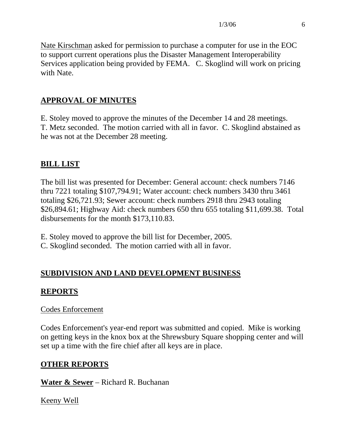Nate Kirschman asked for permission to purchase a computer for use in the EOC to support current operations plus the Disaster Management Interoperability Services application being provided by FEMA. C. Skoglind will work on pricing with Nate.

## **APPROVAL OF MINUTES**

E. Stoley moved to approve the minutes of the December 14 and 28 meetings. T. Metz seconded. The motion carried with all in favor. C. Skoglind abstained as he was not at the December 28 meeting.

## **BILL LIST**

The bill list was presented for December: General account: check numbers 7146 thru 7221 totaling \$107,794.91; Water account: check numbers 3430 thru 3461 totaling \$26,721.93; Sewer account: check numbers 2918 thru 2943 totaling \$26,894.61; Highway Aid: check numbers 650 thru 655 totaling \$11,699.38. Total disbursements for the month \$173,110.83.

E. Stoley moved to approve the bill list for December, 2005.

C. Skoglind seconded. The motion carried with all in favor.

# **SUBDIVISION AND LAND DEVELOPMENT BUSINESS**

## **REPORTS**

### Codes Enforcement

Codes Enforcement's year-end report was submitted and copied. Mike is working on getting keys in the knox box at the Shrewsbury Square shopping center and will set up a time with the fire chief after all keys are in place.

## **OTHER REPORTS**

**Water & Sewer** – Richard R. Buchanan

Keeny Well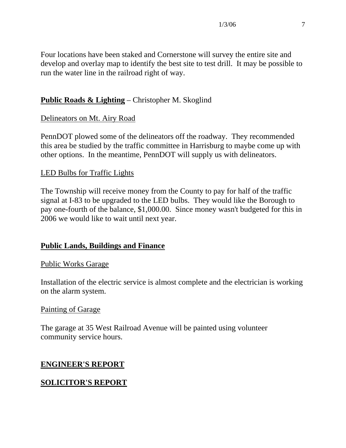Four locations have been staked and Cornerstone will survey the entire site and develop and overlay map to identify the best site to test drill. It may be possible to run the water line in the railroad right of way.

## **Public Roads & Lighting** – Christopher M. Skoglind

## Delineators on Mt. Airy Road

PennDOT plowed some of the delineators off the roadway. They recommended this area be studied by the traffic committee in Harrisburg to maybe come up with other options. In the meantime, PennDOT will supply us with delineators.

### LED Bulbs for Traffic Lights

The Township will receive money from the County to pay for half of the traffic signal at I-83 to be upgraded to the LED bulbs. They would like the Borough to pay one-fourth of the balance, \$1,000.00. Since money wasn't budgeted for this in 2006 we would like to wait until next year.

### **Public Lands, Buildings and Finance**

### Public Works Garage

Installation of the electric service is almost complete and the electrician is working on the alarm system.

### Painting of Garage

The garage at 35 West Railroad Avenue will be painted using volunteer community service hours.

## **ENGINEER'S REPORT**

## **SOLICITOR'S REPORT**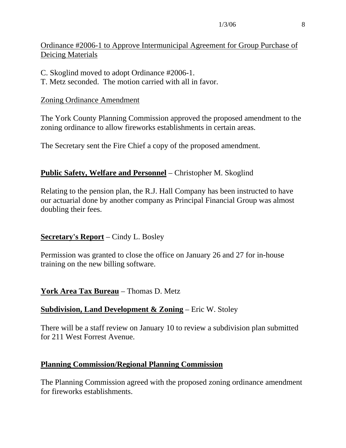### Ordinance #2006-1 to Approve Intermunicipal Agreement for Group Purchase of Deicing Materials

- C. Skoglind moved to adopt Ordinance #2006-1.
- T. Metz seconded. The motion carried with all in favor.

### Zoning Ordinance Amendment

The York County Planning Commission approved the proposed amendment to the zoning ordinance to allow fireworks establishments in certain areas.

The Secretary sent the Fire Chief a copy of the proposed amendment.

### **Public Safety, Welfare and Personnel** – Christopher M. Skoglind

Relating to the pension plan, the R.J. Hall Company has been instructed to have our actuarial done by another company as Principal Financial Group was almost doubling their fees.

### **Secretary's Report** – Cindy L. Bosley

Permission was granted to close the office on January 26 and 27 for in-house training on the new billing software.

## **York Area Tax Bureau** – Thomas D. Metz

### **Subdivision, Land Development & Zoning** – Eric W. Stoley

There will be a staff review on January 10 to review a subdivision plan submitted for 211 West Forrest Avenue.

### **Planning Commission/Regional Planning Commission**

The Planning Commission agreed with the proposed zoning ordinance amendment for fireworks establishments.